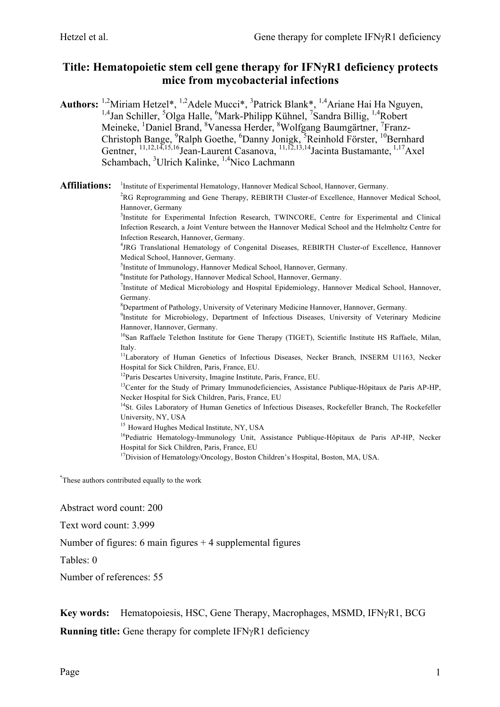# **Title: Hematopoietic stem cell gene therapy for IFNγR1 deficiency protects mice from mycobacterial infections**

Authors: <sup>1,2</sup>Miriam Hetzel<sup>\*</sup>, <sup>1,2</sup>Adele Mucci<sup>\*</sup>, <sup>3</sup>Patrick Blank<sup>\*</sup>, <sup>1,4</sup>Ariane Hai Ha Nguyen, <sup>1,4</sup>Jan Schiller, <sup>5</sup>Olga Halle, <sup>6</sup>Mark-Philipp Kühnel, <sup>7</sup>Sandra Billig, <sup>1,4</sup>Robert Meineke, <sup>1</sup>Daniel Brand, <sup>8</sup>Vanessa Herder, <sup>8</sup>Wolfgang Baumgärtner, <sup>7</sup>Franz-Christoph Bange, <sup>9</sup>Ralph Goethe, <sup>6</sup>Danny Jonigk, <sup>5</sup>Reinhold Förster, <sup>10</sup>Bernhard Gentner,  $^{11,12,14,15,16}$ Jean-Laurent Casanova,  $^{11,\overline{12},13,14}$ Jacinta Bustamante,  $^{1,17}$ Axel Schambach, <sup>3</sup>Ulrich Kalinke, <sup>1,4</sup>Nico Lachmann

**Affiliations:** <sup>1</sup> <sup>1</sup>Institute of Experimental Hematology, Hannover Medical School, Hannover, Germany.

> <sup>2</sup>RG Reprogramming and Gene Therapy, REBIRTH Cluster-of Excellence, Hannover Medical School, Hannover, Germany

> 3 Institute for Experimental Infection Research, TWINCORE, Centre for Experimental and Clinical Infection Research, a Joint Venture between the Hannover Medical School and the Helmholtz Centre for Infection Research, Hannover, Germany.

> 4 JRG Translational Hematology of Congenital Diseases, REBIRTH Cluster-of Excellence, Hannover Medical School, Hannover, Germany.

5 Institute of Immunology, Hannover Medical School, Hannover, Germany.

6 Institute for Pathology, Hannover Medical School, Hannover, Germany.

<sup>7</sup>Institute of Medical Microbiology and Hospital Epidemiology, Hannover Medical School, Hannover, Germany.

<sup>8</sup>Department of Pathology, University of Veterinary Medicine Hannover, Hannover, Germany.

<sup>9</sup>Institute for Microbiology, Department of Infectious Diseases, University of Veterinary Medicine Hannover, Hannover, Germany.

 $10$ San Raffaele Telethon Institute for Gene Therapy (TIGET), Scientific Institute HS Raffaele, Milan, Italy.

<sup>11</sup>Laboratory of Human Genetics of Infectious Diseases, Necker Branch, INSERM U1163, Necker Hospital for Sick Children, Paris, France, EU.

<sup>12</sup>Paris Descartes University, Imagine Institute, Paris, France, EU.

<sup>13</sup>Center for the Study of Primary Immunodeficiencies, Assistance Publique-Hôpitaux de Paris AP-HP, Necker Hospital for Sick Children, Paris, France, EU

<sup>14</sup>St. Giles Laboratory of Human Genetics of Infectious Diseases, Rockefeller Branch, The Rockefeller University, NY, USA

<sup>15</sup> Howard Hughes Medical Institute, NY, USA

<sup>16</sup>Pediatric Hematology-Immunology Unit, Assistance Publique-Hôpitaux de Paris AP-HP, Necker Hospital for Sick Children, Paris, France, EU

<sup>17</sup>Division of Hematology/Oncology, Boston Children's Hospital, Boston, MA, USA.

\* These authors contributed equally to the work

Abstract word count: 200

Text word count: 3.999

Number of figures: 6 main figures  $+4$  supplemental figures

Tables: 0

Number of references: 55

#### **Key words:** Hematopoiesis, HSC, Gene Therapy, Macrophages, MSMD, IFNyR1, BCG

**Running title:** Gene therapy for complete IFN<sub>y</sub>R1 deficiency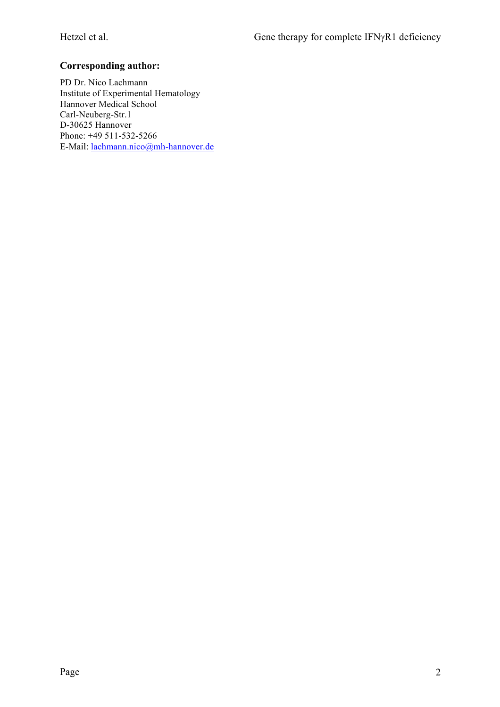## **Corresponding author:**

PD Dr. Nico Lachmann Institute of Experimental Hematology Hannover Medical School Carl-Neuberg-Str.1 D-30625 Hannover Phone: +49 511-532-5266 E-Mail: lachmann.nico@mh-hannover.de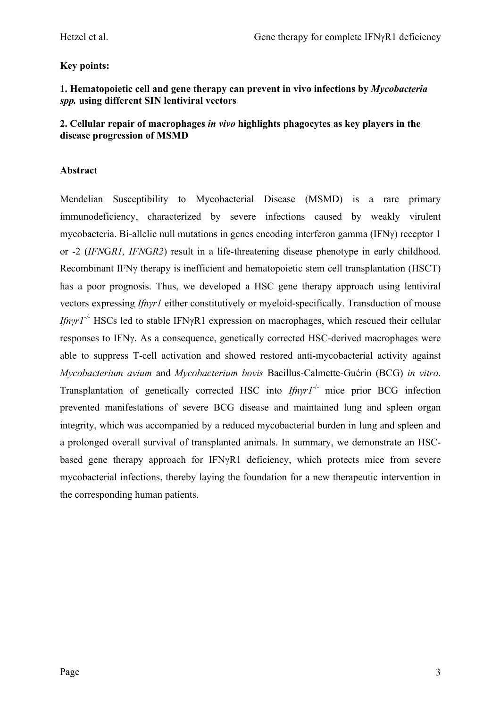## **Key points:**

#### **1. Hematopoietic cell and gene therapy can prevent in vivo infections by** *Mycobacteria spp.* **using different SIN lentiviral vectors**

#### **2. Cellular repair of macrophages** *in vivo* **highlights phagocytes as key players in the disease progression of MSMD**

#### **Abstract**

Mendelian Susceptibility to Mycobacterial Disease (MSMD) is a rare primary immunodeficiency, characterized by severe infections caused by weakly virulent mycobacteria. Bi-allelic null mutations in genes encoding interferon gamma (IFNγ) receptor 1 or -2 (*IFN*G*R1, IFN*G*R2*) result in a life-threatening disease phenotype in early childhood. Recombinant IFNγ therapy is inefficient and hematopoietic stem cell transplantation (HSCT) has a poor prognosis. Thus, we developed a HSC gene therapy approach using lentiviral vectors expressing *Ifnγr1* either constitutively or myeloid-specifically. Transduction of mouse *Ifnγr1-/-* HSCs led to stable IFNγR1 expression on macrophages, which rescued their cellular responses to IFNγ. As a consequence, genetically corrected HSC-derived macrophages were able to suppress T-cell activation and showed restored anti-mycobacterial activity against *Mycobacterium avium* and *Mycobacterium bovis* Bacillus-Calmette-Guérin (BCG) *in vitro*. Transplantation of genetically corrected HSC into *Ifnγr1*-/- mice prior BCG infection prevented manifestations of severe BCG disease and maintained lung and spleen organ integrity, which was accompanied by a reduced mycobacterial burden in lung and spleen and a prolonged overall survival of transplanted animals. In summary, we demonstrate an HSCbased gene therapy approach for IFNγR1 deficiency, which protects mice from severe mycobacterial infections, thereby laying the foundation for a new therapeutic intervention in the corresponding human patients.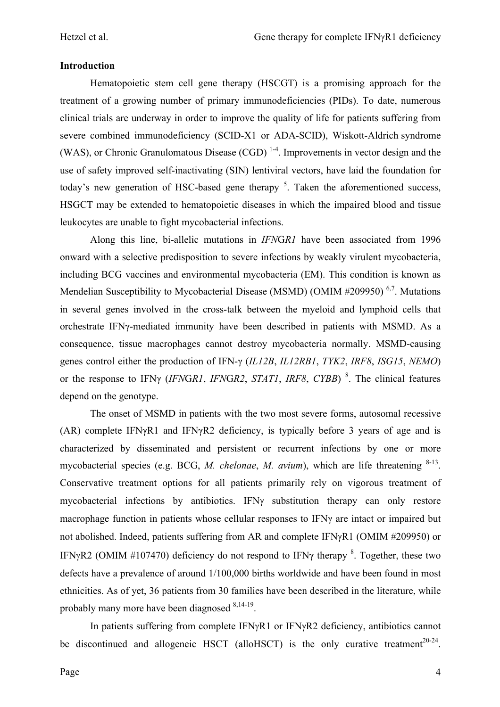#### **Introduction**

Hematopoietic stem cell gene therapy (HSCGT) is a promising approach for the treatment of a growing number of primary immunodeficiencies (PIDs). To date, numerous clinical trials are underway in order to improve the quality of life for patients suffering from severe combined immunodeficiency (SCID-X1 or ADA-SCID), Wiskott-Aldrich syndrome (WAS), or Chronic Granulomatous Disease (CGD)<sup>1-4</sup>. Improvements in vector design and the use of safety improved self-inactivating (SIN) lentiviral vectors, have laid the foundation for today's new generation of HSC-based gene therapy  $5$ . Taken the aforementioned success, HSGCT may be extended to hematopoietic diseases in which the impaired blood and tissue leukocytes are unable to fight mycobacterial infections.

Along this line, bi-allelic mutations in *IFN*G*R1* have been associated from 1996 onward with a selective predisposition to severe infections by weakly virulent mycobacteria, including BCG vaccines and environmental mycobacteria (EM). This condition is known as Mendelian Susceptibility to Mycobacterial Disease (MSMD) (OMIM  $#209950$ )<sup>6,7</sup>. Mutations in several genes involved in the cross-talk between the myeloid and lymphoid cells that orchestrate IFNγ-mediated immunity have been described in patients with MSMD. As a consequence, tissue macrophages cannot destroy mycobacteria normally. MSMD-causing genes control either the production of IFN-γ (*IL12B*, *IL12RB1*, *TYK2*, *IRF8*, *ISG15*, *NEMO*) or the response to IFNγ (*IFN*G*R1*, *IFN*G*R2*, *STAT1*, *IRF8*, *CYBB*) <sup>8</sup> . The clinical features depend on the genotype.

The onset of MSMD in patients with the two most severe forms, autosomal recessive (AR) complete IFNγR1 and IFNγR2 deficiency, is typically before 3 years of age and is characterized by disseminated and persistent or recurrent infections by one or more mycobacterial species (e.g. BCG, *M. chelonae*, *M. avium*), which are life threatening <sup>8-13</sup>. Conservative treatment options for all patients primarily rely on vigorous treatment of mycobacterial infections by antibiotics. IFN $\gamma$  substitution therapy can only restore macrophage function in patients whose cellular responses to IFNγ are intact or impaired but not abolished. Indeed, patients suffering from AR and complete IFNyR1 (OMIM #209950) or IFN $\gamma$ R2 (OMIM #107470) deficiency do not respond to IFN $\gamma$  therapy  $\delta$ . Together, these two defects have a prevalence of around 1/100,000 births worldwide and have been found in most ethnicities. As of yet, 36 patients from 30 families have been described in the literature, while probably many more have been diagnosed <sup>8,14-19</sup>.

In patients suffering from complete  $IFN<sub>Y</sub>R1$  or  $IFN<sub>Y</sub>R2$  deficiency, antibiotics cannot be discontinued and allogeneic HSCT (alloHSCT) is the only curative treatment<sup>20-24</sup>.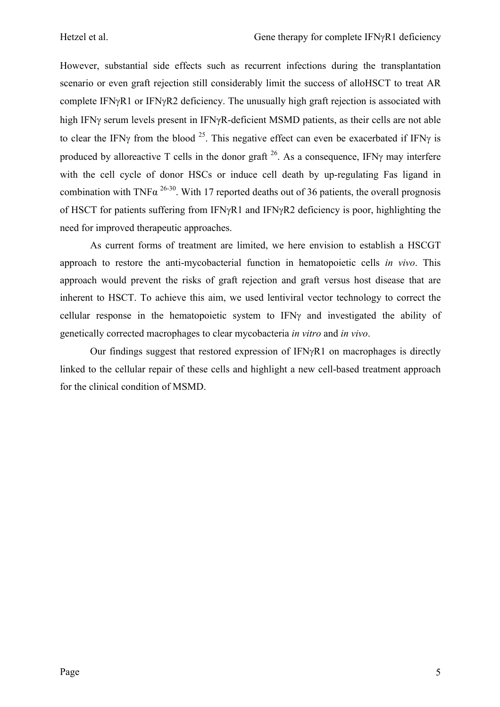However, substantial side effects such as recurrent infections during the transplantation scenario or even graft rejection still considerably limit the success of alloHSCT to treat AR complete IFN $\gamma$ R1 or IFN $\gamma$ R2 deficiency. The unusually high graft rejection is associated with high IFNg serum levels present in IFNγR-deficient MSMD patients, as their cells are not able to clear the IFNy from the blood <sup>25</sup>. This negative effect can even be exacerbated if IFNy is produced by alloreactive T cells in the donor graft  $^{26}$ . As a consequence, IFN $\gamma$  may interfere with the cell cycle of donor HSCs or induce cell death by up-regulating Fas ligand in combination with TNF $\alpha^{26-30}$ . With 17 reported deaths out of 36 patients, the overall prognosis of HSCT for patients suffering from IFN $\gamma$ R1 and IFN $\gamma$ R2 deficiency is poor, highlighting the need for improved therapeutic approaches.

As current forms of treatment are limited, we here envision to establish a HSCGT approach to restore the anti-mycobacterial function in hematopoietic cells *in vivo*. This approach would prevent the risks of graft rejection and graft versus host disease that are inherent to HSCT. To achieve this aim, we used lentiviral vector technology to correct the cellular response in the hematopoietic system to  $IFN<sub>Y</sub>$  and investigated the ability of genetically corrected macrophages to clear mycobacteria *in vitro* and *in vivo*.

Our findings suggest that restored expression of  $IFNvR1$  on macrophages is directly linked to the cellular repair of these cells and highlight a new cell-based treatment approach for the clinical condition of MSMD.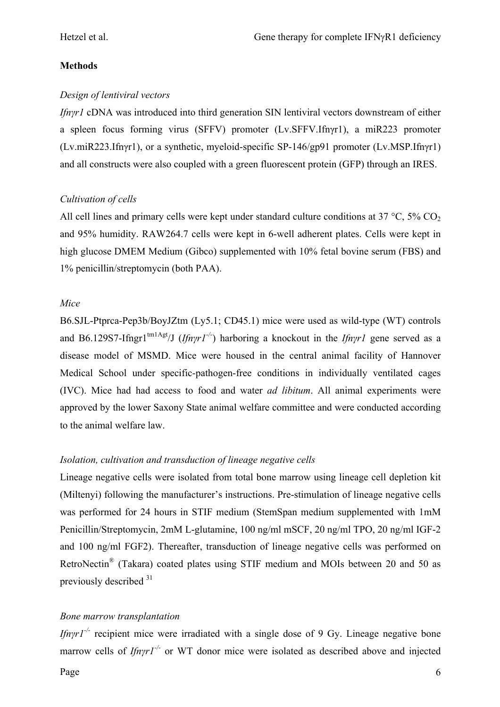#### **Methods**

#### *Design of lentiviral vectors*

*Ifnγr1* cDNA was introduced into third generation SIN lentiviral vectors downstream of either a spleen focus forming virus (SFFV) promoter (Lv.SFFV.Ifnγr1), a miR223 promoter (Lv.miR223.Ifnγr1), or a synthetic, myeloid-specific SP-146/gp91 promoter (Lv.MSP.Ifnγr1) and all constructs were also coupled with a green fluorescent protein (GFP) through an IRES.

#### *Cultivation of cells*

All cell lines and primary cells were kept under standard culture conditions at  $37 \degree C$ ,  $5\% CO<sub>2</sub>$ and 95% humidity. RAW264.7 cells were kept in 6-well adherent plates. Cells were kept in high glucose DMEM Medium (Gibco) supplemented with 10% fetal bovine serum (FBS) and 1% penicillin/streptomycin (both PAA).

#### *Mice*

B6.SJL-Ptprca-Pep3b/BoyJZtm (Ly5.1; CD45.1) mice were used as wild-type (WT) controls and B6.129S7-Ifngr1<sup>tm1Agt</sup>/J (*Ifnyr1<sup>-/-</sup>*) harboring a knockout in the *Ifnyr1* gene served as a disease model of MSMD. Mice were housed in the central animal facility of Hannover Medical School under specific-pathogen-free conditions in individually ventilated cages (IVC). Mice had had access to food and water *ad libitum*. All animal experiments were approved by the lower Saxony State animal welfare committee and were conducted according to the animal welfare law.

### *Isolation, cultivation and transduction of lineage negative cells*

Lineage negative cells were isolated from total bone marrow using lineage cell depletion kit (Miltenyi) following the manufacturer's instructions. Pre-stimulation of lineage negative cells was performed for 24 hours in STIF medium (StemSpan medium supplemented with 1mM Penicillin/Streptomycin, 2mM L-glutamine, 100 ng/ml mSCF, 20 ng/ml TPO, 20 ng/ml IGF-2 and 100 ng/ml FGF2). Thereafter, transduction of lineage negative cells was performed on RetroNectin<sup>®</sup> (Takara) coated plates using STIF medium and MOIs between 20 and 50 as previously described  $31$ 

### *Bone marrow transplantation*

*Ifnγr* $I^{-/-}$  recipient mice were irradiated with a single dose of 9 Gy. Lineage negative bone marrow cells of *Ifnγr1-/-* or WT donor mice were isolated as described above and injected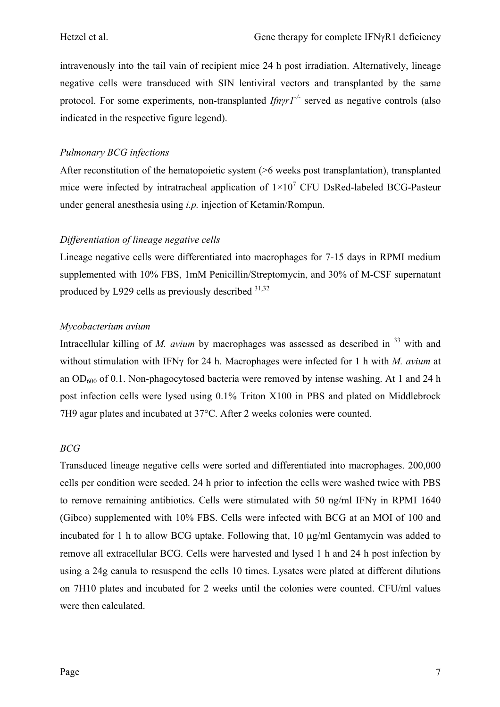intravenously into the tail vain of recipient mice 24 h post irradiation. Alternatively, lineage negative cells were transduced with SIN lentiviral vectors and transplanted by the same protocol. For some experiments, non-transplanted *Ifnγr1-/-* served as negative controls (also indicated in the respective figure legend).

#### *Pulmonary BCG infections*

After reconstitution of the hematopoietic system ( $>6$  weeks post transplantation), transplanted mice were infected by intratracheal application of  $1 \times 10^7$  CFU DsRed-labeled BCG-Pasteur under general anesthesia using *i.p.* injection of Ketamin/Rompun.

#### *Differentiation of lineage negative cells*

Lineage negative cells were differentiated into macrophages for 7-15 days in RPMI medium supplemented with 10% FBS, 1mM Penicillin/Streptomycin, and 30% of M-CSF supernatant produced by L929 cells as previously described  $31,32$ 

#### *Mycobacterium avium*

Intracellular killing of *M. avium* by macrophages was assessed as described in <sup>33</sup> with and without stimulation with IFNγ for 24 h. Macrophages were infected for 1 h with *M. avium* at an  $OD<sub>600</sub>$  of 0.1. Non-phagocytosed bacteria were removed by intense washing. At 1 and 24 h post infection cells were lysed using 0.1% Triton X100 in PBS and plated on Middlebrock 7H9 agar plates and incubated at 37°C. After 2 weeks colonies were counted.

### *BCG*

Transduced lineage negative cells were sorted and differentiated into macrophages. 200,000 cells per condition were seeded. 24 h prior to infection the cells were washed twice with PBS to remove remaining antibiotics. Cells were stimulated with 50 ng/ml IFNγ in RPMI 1640 (Gibco) supplemented with 10% FBS. Cells were infected with BCG at an MOI of 100 and incubated for 1 h to allow BCG uptake. Following that, 10 µg/ml Gentamycin was added to remove all extracellular BCG. Cells were harvested and lysed 1 h and 24 h post infection by using a 24g canula to resuspend the cells 10 times. Lysates were plated at different dilutions on 7H10 plates and incubated for 2 weeks until the colonies were counted. CFU/ml values were then calculated.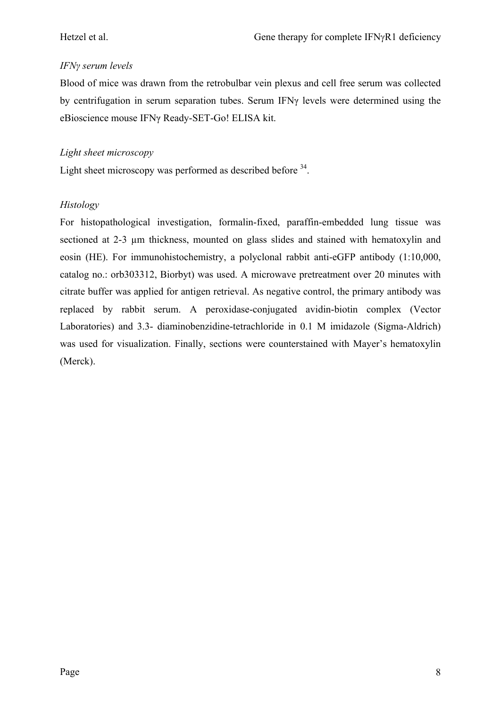## *IFNγ serum levels*

Blood of mice was drawn from the retrobulbar vein plexus and cell free serum was collected by centrifugation in serum separation tubes. Serum IFNγ levels were determined using the eBioscience mouse IFNγ Ready-SET-Go! ELISA kit.

#### *Light sheet microscopy*

Light sheet microscopy was performed as described before <sup>34</sup>.

### *Histology*

For histopathological investigation, formalin-fixed, paraffin-embedded lung tissue was sectioned at 2-3 um thickness, mounted on glass slides and stained with hematoxylin and eosin (HE). For immunohistochemistry, a polyclonal rabbit anti-eGFP antibody (1:10,000, catalog no.: orb303312, Biorbyt) was used. A microwave pretreatment over 20 minutes with citrate buffer was applied for antigen retrieval. As negative control, the primary antibody was replaced by rabbit serum. A peroxidase-conjugated avidin-biotin complex (Vector Laboratories) and 3.3- diaminobenzidine-tetrachloride in 0.1 M imidazole (Sigma-Aldrich) was used for visualization. Finally, sections were counterstained with Mayer's hematoxylin (Merck).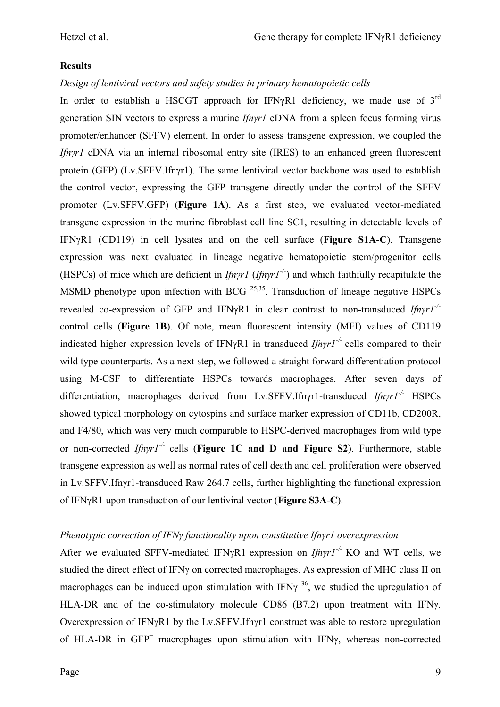#### **Results**

#### *Design of lentiviral vectors and safety studies in primary hematopoietic cells*

In order to establish a HSCGT approach for IFNγR1 deficiency, we made use of  $3<sup>rd</sup>$ generation SIN vectors to express a murine *Ifnγr1* cDNA from a spleen focus forming virus promoter/enhancer (SFFV) element. In order to assess transgene expression, we coupled the *Ifnγr1* cDNA via an internal ribosomal entry site (IRES) to an enhanced green fluorescent protein (GFP) (Lv.SFFV.Ifnγr1). The same lentiviral vector backbone was used to establish the control vector, expressing the GFP transgene directly under the control of the SFFV promoter (Lv.SFFV.GFP) (**Figure 1A**). As a first step, we evaluated vector-mediated transgene expression in the murine fibroblast cell line SC1, resulting in detectable levels of IFNγR1 (CD119) in cell lysates and on the cell surface (**Figure S1A-C**). Transgene expression was next evaluated in lineage negative hematopoietic stem/progenitor cells (HSPCs) of mice which are deficient in *Ifnγr1* (*Ifnγr1-/-*) and which faithfully recapitulate the MSMD phenotype upon infection with BCG <sup>25,35</sup>. Transduction of lineage negative HSPCs revealed co-expression of GFP and IFNγR1 in clear contrast to non-transduced *Ifnγr1-/* control cells (**Figure 1B**). Of note, mean fluorescent intensity (MFI) values of CD119 indicated higher expression levels of IFNγR1 in transduced *Ifnγr1-/-* cells compared to their wild type counterparts. As a next step, we followed a straight forward differentiation protocol using M-CSF to differentiate HSPCs towards macrophages. After seven days of differentiation, macrophages derived from Lv.SFFV.Ifnγr1-transduced *Ifnγr1-/-* HSPCs showed typical morphology on cytospins and surface marker expression of CD11b, CD200R, and F4/80, which was very much comparable to HSPC-derived macrophages from wild type or non-corrected *Ifnγr1-/-* cells (**Figure 1C and D and Figure S2**). Furthermore, stable transgene expression as well as normal rates of cell death and cell proliferation were observed in Lv.SFFV.Ifnγr1-transduced Raw 264.7 cells, further highlighting the functional expression of IFNγR1 upon transduction of our lentiviral vector (**Figure S3A-C**).

#### *Phenotypic correction of IFNγ functionality upon constitutive Ifnγr1 overexpression*

After we evaluated SFFV-mediated IFNγR1 expression on *Ifnγr1-/-* KO and WT cells, we studied the direct effect of IFNγ on corrected macrophages. As expression of MHC class II on macrophages can be induced upon stimulation with IFN $\gamma^{36}$ , we studied the upregulation of HLA-DR and of the co-stimulatory molecule CD86 (B7.2) upon treatment with IFNγ. Overexpression of IFNγR1 by the Lv.SFFV.Ifnγr1 construct was able to restore upregulation of HLA-DR in GFP<sup>+</sup> macrophages upon stimulation with IFNγ, whereas non-corrected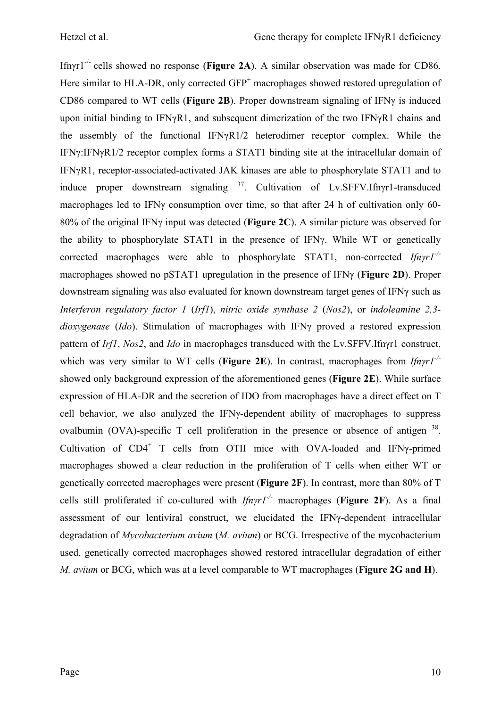Ifnγr1-/- cells showed no response (**Figure 2A**). A similar observation was made for CD86. Here similar to HLA-DR, only corrected  $GFP<sup>+</sup>$  macrophages showed restored upregulation of CD86 compared to WT cells (**Figure 2B**). Proper downstream signaling of IFNγ is induced upon initial binding to IFNγR1, and subsequent dimerization of the two IFNγR1 chains and the assembly of the functional IFNγR1/2 heterodimer receptor complex. While the IFNγ:IFNγR1/2 receptor complex forms a STAT1 binding site at the intracellular domain of IFNγR1, receptor-associated-activated JAK kinases are able to phosphorylate STAT1 and to induce proper downstream signaling <sup>37</sup>. Cultivation of Lv.SFFV.Ifnγr1-transduced macrophages led to IFNγ consumption over time, so that after 24 h of cultivation only 60- 80% of the original IFNγ input was detected (**Figure 2C**). A similar picture was observed for the ability to phosphorylate STAT1 in the presence of IFNγ. While WT or genetically corrected macrophages were able to phosphorylate STAT1, non-corrected *Ifnγr1-/* macrophages showed no pSTAT1 upregulation in the presence of IFNγ (**Figure 2D**). Proper downstream signaling was also evaluated for known downstream target genes of IFNγ such as *Interferon regulatory factor 1* (*Irf1*), *nitric oxide synthase 2* (*Nos2*), or *indoleamine 2,3 dioxygenase* (*Ido*). Stimulation of macrophages with IFNγ proved a restored expression pattern of *Irf1*, *Nos2*, and *Ido* in macrophages transduced with the Lv.SFFV.Ifnγr1 construct, which was very similar to WT cells (**Figure 2E**). In contrast, macrophages from *Ifnγr1-/* showed only background expression of the aforementioned genes (**Figure 2E**). While surface expression of HLA-DR and the secretion of IDO from macrophages have a direct effect on T cell behavior, we also analyzed the IFNγ-dependent ability of macrophages to suppress ovalbumin (OVA)-specific T cell proliferation in the presence or absence of antigen  $38$ . Cultivation of  $CD4^+$  T cells from OTII mice with OVA-loaded and IFN $\gamma$ -primed macrophages showed a clear reduction in the proliferation of T cells when either WT or genetically corrected macrophages were present (**Figure 2F**). In contrast, more than 80% of T cells still proliferated if co-cultured with *Ifnγr1-/-* macrophages (**Figure 2F**). As a final assessment of our lentiviral construct, we elucidated the IFNγ-dependent intracellular degradation of *Mycobacterium avium* (*M. avium*) or BCG. Irrespective of the mycobacterium used, genetically corrected macrophages showed restored intracellular degradation of either *M. avium* or BCG, which was at a level comparable to WT macrophages (**Figure 2G and H**).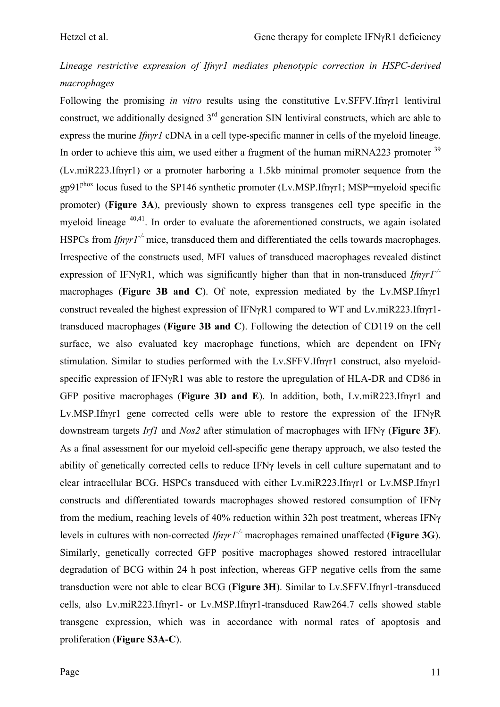# *Lineage restrictive expression of Ifnγr1 mediates phenotypic correction in HSPC-derived macrophages*

Following the promising *in vitro* results using the constitutive Lv.SFFV.Ifnγr1 lentiviral construct, we additionally designed 3<sup>rd</sup> generation SIN lentiviral constructs, which are able to express the murine *Ifnγr1* cDNA in a cell type-specific manner in cells of the myeloid lineage. In order to achieve this aim, we used either a fragment of the human miRNA223 promoter <sup>39</sup> (Lv.miR223.Ifnγr1) or a promoter harboring a 1.5kb minimal promoter sequence from the gp91phox locus fused to the SP146 synthetic promoter (Lv.MSP.Ifnγr1; MSP=myeloid specific promoter) (**Figure 3A**), previously shown to express transgenes cell type specific in the myeloid lineage 40,41. In order to evaluate the aforementioned constructs, we again isolated HSPCs from *Ifnyr1<sup>-/-</sup>* mice, transduced them and differentiated the cells towards macrophages. Irrespective of the constructs used, MFI values of transduced macrophages revealed distinct expression of IFNγR1, which was significantly higher than that in non-transduced *Ifnγr1-/* macrophages (**Figure 3B and C**). Of note, expression mediated by the Lv.MSP.Ifnγr1 construct revealed the highest expression of IFNγR1 compared to WT and Lv.miR223.Ifnγr1 transduced macrophages (**Figure 3B and C**). Following the detection of CD119 on the cell surface, we also evaluated key macrophage functions, which are dependent on IFNγ stimulation. Similar to studies performed with the Lv.SFFV.Ifnγr1 construct, also myeloidspecific expression of IFNγR1 was able to restore the upregulation of HLA-DR and CD86 in GFP positive macrophages (**Figure 3D and E**). In addition, both, Lv.miR223.Ifnγr1 and Lv.MSP.Ifnγr1 gene corrected cells were able to restore the expression of the IFNγR downstream targets *Irf1* and *Nos2* after stimulation of macrophages with IFNγ (**Figure 3F**). As a final assessment for our myeloid cell-specific gene therapy approach, we also tested the ability of genetically corrected cells to reduce IFNγ levels in cell culture supernatant and to clear intracellular BCG. HSPCs transduced with either Lv.miR223.Ifnγr1 or Lv.MSP.Ifnγr1 constructs and differentiated towards macrophages showed restored consumption of IFNγ from the medium, reaching levels of 40% reduction within 32h post treatment, whereas IFNγ levels in cultures with non-corrected *Ifnγr1-/-* macrophages remained unaffected (**Figure 3G**). Similarly, genetically corrected GFP positive macrophages showed restored intracellular degradation of BCG within 24 h post infection, whereas GFP negative cells from the same transduction were not able to clear BCG (**Figure 3H**). Similar to Lv.SFFV.Ifnγr1-transduced cells, also Lv.miR223.Ifnγr1- or Lv.MSP.Ifnγr1-transduced Raw264.7 cells showed stable transgene expression, which was in accordance with normal rates of apoptosis and proliferation (**Figure S3A-C**).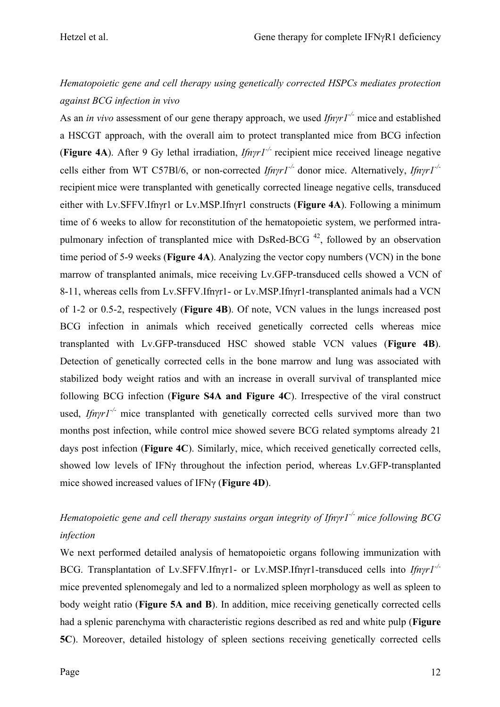# *Hematopoietic gene and cell therapy using genetically corrected HSPCs mediates protection against BCG infection in vivo*

As an *in vivo* assessment of our gene therapy approach, we used *Ifnγr1-/-* mice and established a HSCGT approach, with the overall aim to protect transplanted mice from BCG infection (**Figure 4A**). After 9 Gy lethal irradiation, *Ifnγr1-/-* recipient mice received lineage negative cells either from WT C57Bl/6, or non-corrected *Ifnγr1-/-* donor mice. Alternatively, *Ifnγr1-/* recipient mice were transplanted with genetically corrected lineage negative cells, transduced either with Lv.SFFV.Ifnγr1 or Lv.MSP.Ifnγr1 constructs (**Figure 4A**). Following a minimum time of 6 weeks to allow for reconstitution of the hematopoietic system, we performed intrapulmonary infection of transplanted mice with DsRed-BCG  $42$ , followed by an observation time period of 5-9 weeks (**Figure 4A**). Analyzing the vector copy numbers (VCN) in the bone marrow of transplanted animals, mice receiving Lv.GFP-transduced cells showed a VCN of 8-11, whereas cells from Lv.SFFV.Ifnγr1- or Lv.MSP.Ifnγr1-transplanted animals had a VCN of 1-2 or 0.5-2, respectively (**Figure 4B**). Of note, VCN values in the lungs increased post BCG infection in animals which received genetically corrected cells whereas mice transplanted with Lv.GFP-transduced HSC showed stable VCN values (**Figure 4B**). Detection of genetically corrected cells in the bone marrow and lung was associated with stabilized body weight ratios and with an increase in overall survival of transplanted mice following BCG infection (**Figure S4A and Figure 4C**). Irrespective of the viral construct used, *Ifnyr1<sup>-/-</sup>* mice transplanted with genetically corrected cells survived more than two months post infection, while control mice showed severe BCG related symptoms already 21 days post infection (**Figure 4C**). Similarly, mice, which received genetically corrected cells, showed low levels of IFNγ throughout the infection period, whereas Lv.GFP-transplanted mice showed increased values of IFNγ (**Figure 4D**).

# *Hematopoietic gene and cell therapy sustains organ integrity of Ifn<i>γr*1<sup>-/-</sup> *mice following BCG infection*

We next performed detailed analysis of hematopoietic organs following immunization with BCG. Transplantation of Lv.SFFV.Ifnγr1- or Lv.MSP.Ifnγr1-transduced cells into *Ifnγr1-/* mice prevented splenomegaly and led to a normalized spleen morphology as well as spleen to body weight ratio (**Figure 5A and B**). In addition, mice receiving genetically corrected cells had a splenic parenchyma with characteristic regions described as red and white pulp (**Figure 5C**). Moreover, detailed histology of spleen sections receiving genetically corrected cells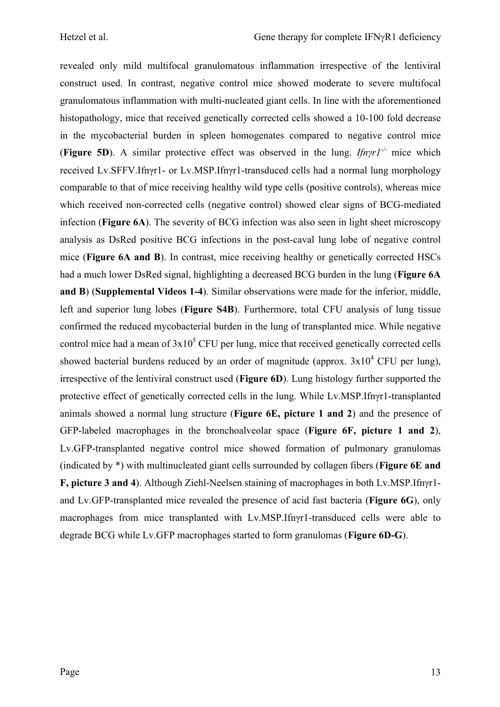revealed only mild multifocal granulomatous inflammation irrespective of the lentiviral construct used. In contrast, negative control mice showed moderate to severe multifocal granulomatous inflammation with multi-nucleated giant cells. In line with the aforementioned histopathology, mice that received genetically corrected cells showed a 10-100 fold decrease in the mycobacterial burden in spleen homogenates compared to negative control mice (**Figure 5D**). A similar protective effect was observed in the lung. *Ifnγr1-/-* mice which received Lv.SFFV.Ifnγr1- or Lv.MSP.Ifnγr1-transduced cells had a normal lung morphology comparable to that of mice receiving healthy wild type cells (positive controls), whereas mice which received non-corrected cells (negative control) showed clear signs of BCG-mediated infection (**Figure 6A**). The severity of BCG infection was also seen in light sheet microscopy analysis as DsRed positive BCG infections in the post-caval lung lobe of negative control mice (**Figure 6A and B**). In contrast, mice receiving healthy or genetically corrected HSCs had a much lower DsRed signal, highlighting a decreased BCG burden in the lung (**Figure 6A and B**) (**Supplemental Videos 1-4**). Similar observations were made for the inferior, middle, left and superior lung lobes (**Figure S4B**). Furthermore, total CFU analysis of lung tissue confirmed the reduced mycobacterial burden in the lung of transplanted mice. While negative control mice had a mean of  $3x10^5$  CFU per lung, mice that received genetically corrected cells showed bacterial burdens reduced by an order of magnitude (approx.  $3x10^4$  CFU per lung), irrespective of the lentiviral construct used (**Figure 6D**). Lung histology further supported the protective effect of genetically corrected cells in the lung. While Lv.MSP.Ifnγr1-transplanted animals showed a normal lung structure (**Figure 6E, picture 1 and 2**) and the presence of GFP-labeled macrophages in the bronchoalveolar space (**Figure 6F, picture 1 and 2**), Lv.GFP-transplanted negative control mice showed formation of pulmonary granulomas (indicated by \*) with multinucleated giant cells surrounded by collagen fibers (**Figure 6E and F, picture 3 and 4**). Although Ziehl-Neelsen staining of macrophages in both Lv.MSP.Ifnγr1 and Lv.GFP-transplanted mice revealed the presence of acid fast bacteria (**Figure 6G**), only macrophages from mice transplanted with Lv.MSP.Ifnγr1-transduced cells were able to degrade BCG while Lv.GFP macrophages started to form granulomas (**Figure 6D-G**).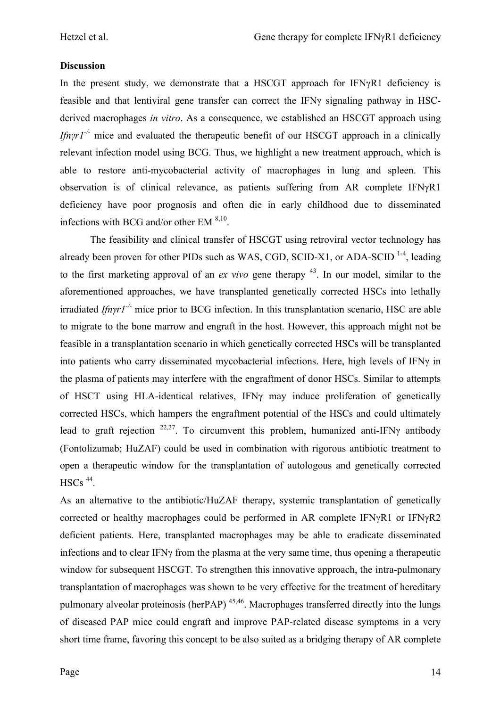#### **Discussion**

In the present study, we demonstrate that a HSCGT approach for IFNγR1 deficiency is feasible and that lentiviral gene transfer can correct the IFNγ signaling pathway in HSCderived macrophages *in vitro*. As a consequence, we established an HSCGT approach using *Ifn* $\gamma r I^{-1}$  mice and evaluated the therapeutic benefit of our HSCGT approach in a clinically relevant infection model using BCG. Thus, we highlight a new treatment approach, which is able to restore anti-mycobacterial activity of macrophages in lung and spleen. This observation is of clinical relevance, as patients suffering from AR complete IFNγR1 deficiency have poor prognosis and often die in early childhood due to disseminated infections with BCG and/or other EM  $8,10$ .

The feasibility and clinical transfer of HSCGT using retroviral vector technology has already been proven for other PIDs such as WAS, CGD, SCID-X1, or ADA-SCID<sup>1-4</sup>, leading to the first marketing approval of an *ex vivo* gene therapy <sup>43</sup>. In our model, similar to the aforementioned approaches, we have transplanted genetically corrected HSCs into lethally irradiated *Ifnγr1-/-* mice prior to BCG infection. In this transplantation scenario, HSC are able to migrate to the bone marrow and engraft in the host. However, this approach might not be feasible in a transplantation scenario in which genetically corrected HSCs will be transplanted into patients who carry disseminated mycobacterial infections. Here, high levels of IFNγ in the plasma of patients may interfere with the engraftment of donor HSCs. Similar to attempts of HSCT using HLA-identical relatives, IFNγ may induce proliferation of genetically corrected HSCs, which hampers the engraftment potential of the HSCs and could ultimately lead to graft rejection <sup>22,27</sup>. To circumvent this problem, humanized anti-IFN $\gamma$  antibody (Fontolizumab; HuZAF) could be used in combination with rigorous antibiotic treatment to open a therapeutic window for the transplantation of autologous and genetically corrected  $HSCs$ <sup>44</sup>.

As an alternative to the antibiotic/HuZAF therapy, systemic transplantation of genetically corrected or healthy macrophages could be performed in AR complete IFNγR1 or IFNγR2 deficient patients. Here, transplanted macrophages may be able to eradicate disseminated infections and to clear IFNγ from the plasma at the very same time, thus opening a therapeutic window for subsequent HSCGT. To strengthen this innovative approach, the intra-pulmonary transplantation of macrophages was shown to be very effective for the treatment of hereditary pulmonary alveolar proteinosis (her $PAP$ )<sup>45,46</sup>. Macrophages transferred directly into the lungs of diseased PAP mice could engraft and improve PAP-related disease symptoms in a very short time frame, favoring this concept to be also suited as a bridging therapy of AR complete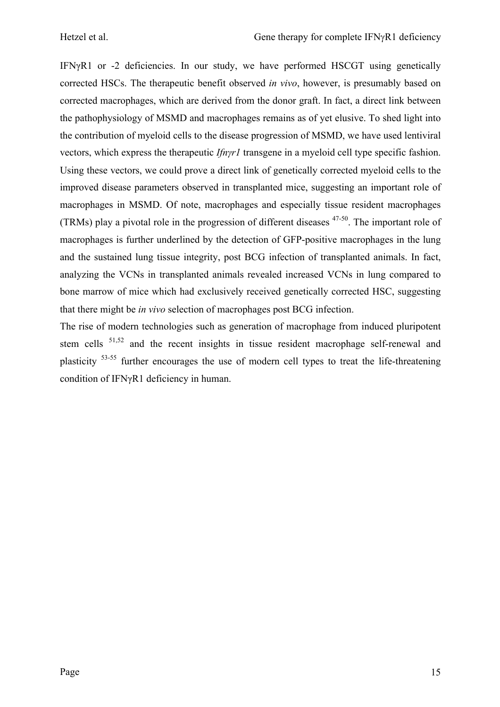IFNγR1 or -2 deficiencies. In our study, we have performed HSCGT using genetically corrected HSCs. The therapeutic benefit observed *in vivo*, however, is presumably based on corrected macrophages, which are derived from the donor graft. In fact, a direct link between the pathophysiology of MSMD and macrophages remains as of yet elusive. To shed light into the contribution of myeloid cells to the disease progression of MSMD, we have used lentiviral vectors, which express the therapeutic *Ifnγr1* transgene in a myeloid cell type specific fashion. Using these vectors, we could prove a direct link of genetically corrected myeloid cells to the improved disease parameters observed in transplanted mice, suggesting an important role of macrophages in MSMD. Of note, macrophages and especially tissue resident macrophages (TRMs) play a pivotal role in the progression of different diseases 47-50. The important role of macrophages is further underlined by the detection of GFP-positive macrophages in the lung and the sustained lung tissue integrity, post BCG infection of transplanted animals. In fact, analyzing the VCNs in transplanted animals revealed increased VCNs in lung compared to bone marrow of mice which had exclusively received genetically corrected HSC, suggesting that there might be *in vivo* selection of macrophages post BCG infection.

The rise of modern technologies such as generation of macrophage from induced pluripotent stem cells <sup>51,52</sup> and the recent insights in tissue resident macrophage self-renewal and plasticity 53-55 further encourages the use of modern cell types to treat the life-threatening condition of IFNγR1 deficiency in human.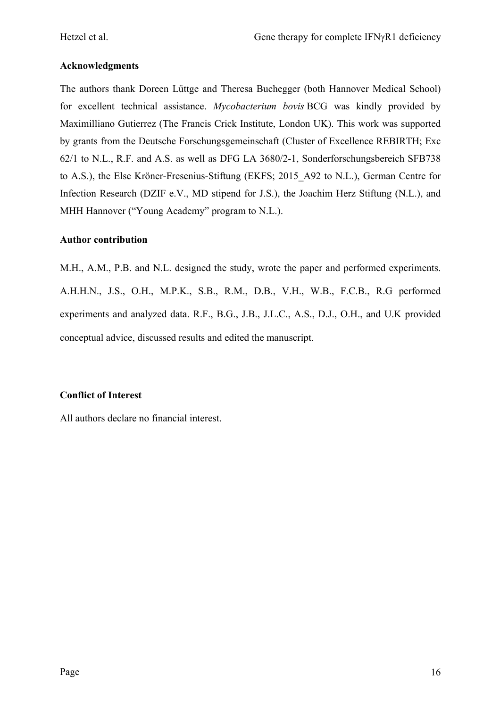#### **Acknowledgments**

The authors thank Doreen Lüttge and Theresa Buchegger (both Hannover Medical School) for excellent technical assistance. *Mycobacterium bovis* BCG was kindly provided by Maximilliano Gutierrez (The Francis Crick Institute, London UK). This work was supported by grants from the Deutsche Forschungsgemeinschaft (Cluster of Excellence REBIRTH; Exc 62/1 to N.L., R.F. and A.S. as well as DFG LA 3680/2-1, Sonderforschungsbereich SFB738 to A.S.), the Else Kröner-Fresenius-Stiftung (EKFS; 2015\_A92 to N.L.), German Centre for Infection Research (DZIF e.V., MD stipend for J.S.), the Joachim Herz Stiftung (N.L.), and MHH Hannover ("Young Academy" program to N.L.).

#### **Author contribution**

M.H., A.M., P.B. and N.L. designed the study, wrote the paper and performed experiments. A.H.H.N., J.S., O.H., M.P.K., S.B., R.M., D.B., V.H., W.B., F.C.B., R.G performed experiments and analyzed data. R.F., B.G., J.B., J.L.C., A.S., D.J., O.H., and U.K provided conceptual advice, discussed results and edited the manuscript.

### **Conflict of Interest**

All authors declare no financial interest.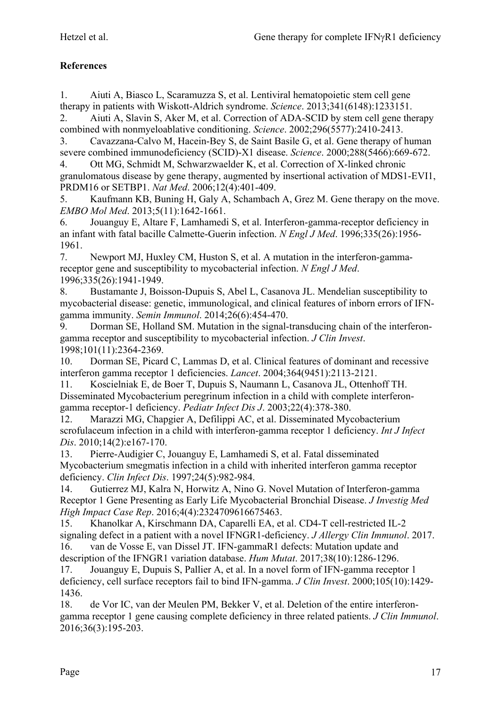# **References**

1. Aiuti A, Biasco L, Scaramuzza S, et al. Lentiviral hematopoietic stem cell gene therapy in patients with Wiskott-Aldrich syndrome. *Science*. 2013;341(6148):1233151.

2. Aiuti A, Slavin S, Aker M, et al. Correction of ADA-SCID by stem cell gene therapy combined with nonmyeloablative conditioning. *Science*. 2002;296(5577):2410-2413.

3. Cavazzana-Calvo M, Hacein-Bey S, de Saint Basile G, et al. Gene therapy of human severe combined immunodeficiency (SCID)-X1 disease. *Science*. 2000;288(5466):669-672.

4. Ott MG, Schmidt M, Schwarzwaelder K, et al. Correction of X-linked chronic granulomatous disease by gene therapy, augmented by insertional activation of MDS1-EVI1, PRDM16 or SETBP1. *Nat Med*. 2006;12(4):401-409.

5. Kaufmann KB, Buning H, Galy A, Schambach A, Grez M. Gene therapy on the move. *EMBO Mol Med*. 2013;5(11):1642-1661.

6. Jouanguy E, Altare F, Lamhamedi S, et al. Interferon-gamma-receptor deficiency in an infant with fatal bacille Calmette-Guerin infection. *N Engl J Med*. 1996;335(26):1956- 1961.

7. Newport MJ, Huxley CM, Huston S, et al. A mutation in the interferon-gammareceptor gene and susceptibility to mycobacterial infection. *N Engl J Med*. 1996;335(26):1941-1949.

8. Bustamante J, Boisson-Dupuis S, Abel L, Casanova JL. Mendelian susceptibility to mycobacterial disease: genetic, immunological, and clinical features of inborn errors of IFNgamma immunity. *Semin Immunol*. 2014;26(6):454-470.

9. Dorman SE, Holland SM. Mutation in the signal-transducing chain of the interferongamma receptor and susceptibility to mycobacterial infection. *J Clin Invest*. 1998;101(11):2364-2369.

10. Dorman SE, Picard C, Lammas D, et al. Clinical features of dominant and recessive interferon gamma receptor 1 deficiencies. *Lancet*. 2004;364(9451):2113-2121.

11. Koscielniak E, de Boer T, Dupuis S, Naumann L, Casanova JL, Ottenhoff TH. Disseminated Mycobacterium peregrinum infection in a child with complete interferongamma receptor-1 deficiency. *Pediatr Infect Dis J*. 2003;22(4):378-380.

12. Marazzi MG, Chapgier A, Defilippi AC, et al. Disseminated Mycobacterium scrofulaceum infection in a child with interferon-gamma receptor 1 deficiency. *Int J Infect Dis*. 2010;14(2):e167-170.

13. Pierre-Audigier C, Jouanguy E, Lamhamedi S, et al. Fatal disseminated Mycobacterium smegmatis infection in a child with inherited interferon gamma receptor deficiency. *Clin Infect Dis*. 1997;24(5):982-984.

14. Gutierrez MJ, Kalra N, Horwitz A, Nino G. Novel Mutation of Interferon-gamma Receptor 1 Gene Presenting as Early Life Mycobacterial Bronchial Disease. *J Investig Med High Impact Case Rep*. 2016;4(4):2324709616675463.

15. Khanolkar A, Kirschmann DA, Caparelli EA, et al. CD4-T cell-restricted IL-2 signaling defect in a patient with a novel IFNGR1-deficiency. *J Allergy Clin Immunol*. 2017. 16. van de Vosse E, van Dissel JT. IFN-gammaR1 defects: Mutation update and

description of the IFNGR1 variation database. *Hum Mutat*. 2017;38(10):1286-1296. 17. Jouanguy E, Dupuis S, Pallier A, et al. In a novel form of IFN-gamma receptor 1

deficiency, cell surface receptors fail to bind IFN-gamma. *J Clin Invest*. 2000;105(10):1429- 1436.

18. de Vor IC, van der Meulen PM, Bekker V, et al. Deletion of the entire interferongamma receptor 1 gene causing complete deficiency in three related patients. *J Clin Immunol*. 2016;36(3):195-203.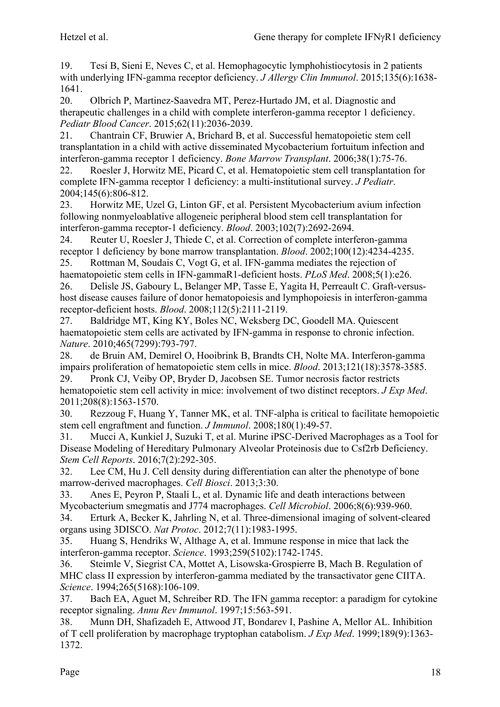19. Tesi B, Sieni E, Neves C, et al. Hemophagocytic lymphohistiocytosis in 2 patients with underlying IFN-gamma receptor deficiency. *J Allergy Clin Immunol*. 2015;135(6):1638- 1641.

20. Olbrich P, Martinez-Saavedra MT, Perez-Hurtado JM, et al. Diagnostic and therapeutic challenges in a child with complete interferon-gamma receptor 1 deficiency. *Pediatr Blood Cancer*. 2015;62(11):2036-2039.

21. Chantrain CF, Bruwier A, Brichard B, et al. Successful hematopoietic stem cell transplantation in a child with active disseminated Mycobacterium fortuitum infection and interferon-gamma receptor 1 deficiency. *Bone Marrow Transplant*. 2006;38(1):75-76.

22. Roesler J, Horwitz ME, Picard C, et al. Hematopoietic stem cell transplantation for complete IFN-gamma receptor 1 deficiency: a multi-institutional survey. *J Pediatr*. 2004;145(6):806-812.

23. Horwitz ME, Uzel G, Linton GF, et al. Persistent Mycobacterium avium infection following nonmyeloablative allogeneic peripheral blood stem cell transplantation for interferon-gamma receptor-1 deficiency. *Blood*. 2003;102(7):2692-2694.

24. Reuter U, Roesler J, Thiede C, et al. Correction of complete interferon-gamma receptor 1 deficiency by bone marrow transplantation. *Blood*. 2002;100(12):4234-4235. 25. Rottman M, Soudais C, Vogt G, et al. IFN-gamma mediates the rejection of

haematopoietic stem cells in IFN-gammaR1-deficient hosts. *PLoS Med*. 2008;5(1):e26. 26. Delisle JS, Gaboury L, Belanger MP, Tasse E, Yagita H, Perreault C. Graft-versushost disease causes failure of donor hematopoiesis and lymphopoiesis in interferon-gamma receptor-deficient hosts. *Blood*. 2008;112(5):2111-2119.

27. Baldridge MT, King KY, Boles NC, Weksberg DC, Goodell MA. Quiescent haematopoietic stem cells are activated by IFN-gamma in response to chronic infection. *Nature*. 2010;465(7299):793-797.

28. de Bruin AM, Demirel O, Hooibrink B, Brandts CH, Nolte MA. Interferon-gamma impairs proliferation of hematopoietic stem cells in mice. *Blood*. 2013;121(18):3578-3585.

29. Pronk CJ, Veiby OP, Bryder D, Jacobsen SE. Tumor necrosis factor restricts hematopoietic stem cell activity in mice: involvement of two distinct receptors. *J Exp Med*. 2011;208(8):1563-1570.

30. Rezzoug F, Huang Y, Tanner MK, et al. TNF-alpha is critical to facilitate hemopoietic stem cell engraftment and function. *J Immunol*. 2008;180(1):49-57.

31. Mucci A, Kunkiel J, Suzuki T, et al. Murine iPSC-Derived Macrophages as a Tool for Disease Modeling of Hereditary Pulmonary Alveolar Proteinosis due to Csf2rb Deficiency. *Stem Cell Reports*. 2016;7(2):292-305.

32. Lee CM, Hu J. Cell density during differentiation can alter the phenotype of bone marrow-derived macrophages. *Cell Biosci*. 2013;3:30.

33. Anes E, Peyron P, Staali L, et al. Dynamic life and death interactions between Mycobacterium smegmatis and J774 macrophages. *Cell Microbiol*. 2006;8(6):939-960.

34. Erturk A, Becker K, Jahrling N, et al. Three-dimensional imaging of solvent-cleared organs using 3DISCO. *Nat Protoc*. 2012;7(11):1983-1995.

35. Huang S, Hendriks W, Althage A, et al. Immune response in mice that lack the interferon-gamma receptor. *Science*. 1993;259(5102):1742-1745.

36. Steimle V, Siegrist CA, Mottet A, Lisowska-Grospierre B, Mach B. Regulation of MHC class II expression by interferon-gamma mediated by the transactivator gene CIITA. *Science*. 1994;265(5168):106-109.

37. Bach EA, Aguet M, Schreiber RD. The IFN gamma receptor: a paradigm for cytokine receptor signaling. *Annu Rev Immunol*. 1997;15:563-591.

38. Munn DH, Shafizadeh E, Attwood JT, Bondarev I, Pashine A, Mellor AL. Inhibition of T cell proliferation by macrophage tryptophan catabolism. *J Exp Med*. 1999;189(9):1363- 1372.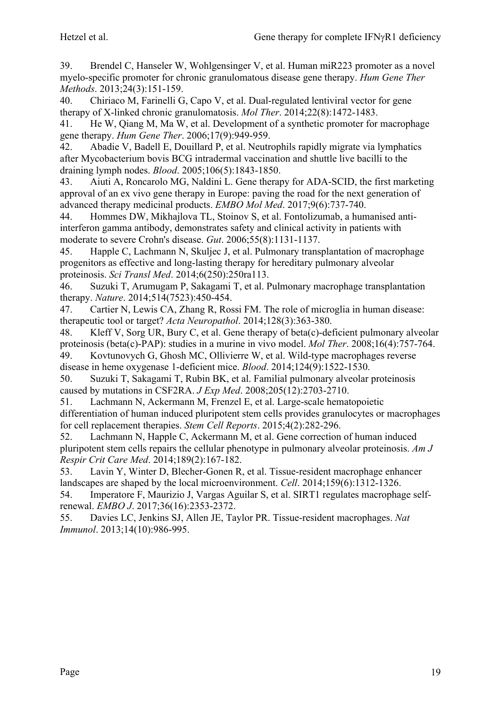39. Brendel C, Hanseler W, Wohlgensinger V, et al. Human miR223 promoter as a novel myelo-specific promoter for chronic granulomatous disease gene therapy. *Hum Gene Ther Methods*. 2013;24(3):151-159.

40. Chiriaco M, Farinelli G, Capo V, et al. Dual-regulated lentiviral vector for gene therapy of X-linked chronic granulomatosis. *Mol Ther*. 2014;22(8):1472-1483.

41. He W, Qiang M, Ma W, et al. Development of a synthetic promoter for macrophage gene therapy. *Hum Gene Ther*. 2006;17(9):949-959.

42. Abadie V, Badell E, Douillard P, et al. Neutrophils rapidly migrate via lymphatics after Mycobacterium bovis BCG intradermal vaccination and shuttle live bacilli to the draining lymph nodes. *Blood*. 2005;106(5):1843-1850.

43. Aiuti A, Roncarolo MG, Naldini L. Gene therapy for ADA-SCID, the first marketing approval of an ex vivo gene therapy in Europe: paving the road for the next generation of advanced therapy medicinal products. *EMBO Mol Med*. 2017;9(6):737-740.

44. Hommes DW, Mikhajlova TL, Stoinov S, et al. Fontolizumab, a humanised antiinterferon gamma antibody, demonstrates safety and clinical activity in patients with moderate to severe Crohn's disease. *Gut*. 2006;55(8):1131-1137.

45. Happle C, Lachmann N, Skuljec J, et al. Pulmonary transplantation of macrophage progenitors as effective and long-lasting therapy for hereditary pulmonary alveolar proteinosis. *Sci Transl Med*. 2014;6(250):250ra113.

46. Suzuki T, Arumugam P, Sakagami T, et al. Pulmonary macrophage transplantation therapy. *Nature*. 2014;514(7523):450-454.

47. Cartier N, Lewis CA, Zhang R, Rossi FM. The role of microglia in human disease: therapeutic tool or target? *Acta Neuropathol*. 2014;128(3):363-380.

48. Kleff V, Sorg UR, Bury C, et al. Gene therapy of beta(c)-deficient pulmonary alveolar proteinosis (beta(c)-PAP): studies in a murine in vivo model. *Mol Ther*. 2008;16(4):757-764.

49. Kovtunovych G, Ghosh MC, Ollivierre W, et al. Wild-type macrophages reverse disease in heme oxygenase 1-deficient mice. *Blood*. 2014;124(9):1522-1530.

50. Suzuki T, Sakagami T, Rubin BK, et al. Familial pulmonary alveolar proteinosis caused by mutations in CSF2RA. *J Exp Med*. 2008;205(12):2703-2710.

51. Lachmann N, Ackermann M, Frenzel E, et al. Large-scale hematopoietic differentiation of human induced pluripotent stem cells provides granulocytes or macrophages for cell replacement therapies. *Stem Cell Reports*. 2015;4(2):282-296.

52. Lachmann N, Happle C, Ackermann M, et al. Gene correction of human induced pluripotent stem cells repairs the cellular phenotype in pulmonary alveolar proteinosis. *Am J Respir Crit Care Med*. 2014;189(2):167-182.

53. Lavin Y, Winter D, Blecher-Gonen R, et al. Tissue-resident macrophage enhancer landscapes are shaped by the local microenvironment. *Cell*. 2014;159(6):1312-1326.

54. Imperatore F, Maurizio J, Vargas Aguilar S, et al. SIRT1 regulates macrophage selfrenewal. *EMBO J*. 2017;36(16):2353-2372.

55. Davies LC, Jenkins SJ, Allen JE, Taylor PR. Tissue-resident macrophages. *Nat Immunol*. 2013;14(10):986-995.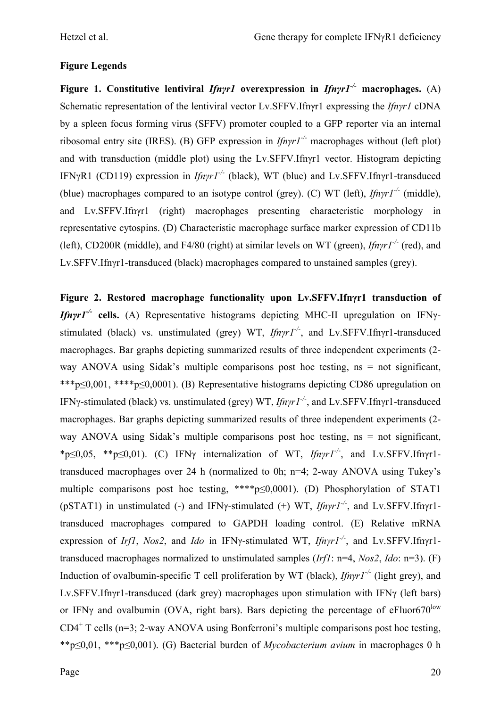## **Figure Legends**

**Figure 1. Constitutive lentiviral** *Ifnγr1* **overexpression in** *Ifnγr1-/-* **macrophages.** (A) Schematic representation of the lentiviral vector Lv.SFFV.Ifnγr1 expressing the *Ifnγr1* cDNA by a spleen focus forming virus (SFFV) promoter coupled to a GFP reporter via an internal ribosomal entry site (IRES). (B) GFP expression in *Ifnγr1-/-* macrophages without (left plot) and with transduction (middle plot) using the Lv.SFFV.Ifnγr1 vector. Histogram depicting IFNγR1 (CD119) expression in *Ifnγr1-/-* (black), WT (blue) and Lv.SFFV.Ifnγr1-transduced (blue) macrophages compared to an isotype control (grey). (C) WT (left), *Ifnγr1-/-* (middle), and Lv.SFFV.Ifnγr1 (right) macrophages presenting characteristic morphology in representative cytospins. (D) Characteristic macrophage surface marker expression of CD11b (left), CD200R (middle), and F4/80 (right) at similar levels on WT (green), *Ifnγr1-/-* (red), and Lv.SFFV.Ifnγr1-transduced (black) macrophages compared to unstained samples (grey).

**Figure 2. Restored macrophage functionality upon Lv.SFFV.Ifnγr1 transduction of**  *Ifnγr1-/-* **cells.** (A) Representative histograms depicting MHC-II upregulation on IFNγstimulated (black) vs. unstimulated (grey) WT, *Ifnγr1-/-*, and Lv.SFFV.Ifnγr1-transduced macrophages. Bar graphs depicting summarized results of three independent experiments (2 way ANOVA using Sidak's multiple comparisons post hoc testing,  $ns = not$  significant, \*\*\*p≤0,001, \*\*\*\*p≤0,0001). (B) Representative histograms depicting CD86 upregulation on IFNγ-stimulated (black) vs. unstimulated (grey) WT, *Ifnγr1-/-*, and Lv.SFFV.Ifnγr1-transduced macrophages. Bar graphs depicting summarized results of three independent experiments (2 way ANOVA using Sidak's multiple comparisons post hoc testing,  $ns = not$  significant, \*p≤0,05, \*\*p≤0,01). (C) IFNγ internalization of WT, *Ifnγr1-/-*, and Lv.SFFV.Ifnγr1 transduced macrophages over 24 h (normalized to 0h; n=4; 2-way ANOVA using Tukey's multiple comparisons post hoc testing, \*\*\*\*p≤0,0001). (D) Phosphorylation of STAT1 (pSTAT1) in unstimulated (-) and IFNγ-stimulated (+) WT, *Ifnγr1-/-*, and Lv.SFFV.Ifnγr1 transduced macrophages compared to GAPDH loading control. (E) Relative mRNA expression of *Irf1*, *Nos2*, and *Ido* in IFNγ-stimulated WT, *Ifnγr1-/-*, and Lv.SFFV.Ifnγr1 transduced macrophages normalized to unstimulated samples (*Irf1*: n=4, *Nos2*, *Ido*: n=3). (F) Induction of ovalbumin-specific T cell proliferation by WT (black), *Ifnγr1-/-* (light grey), and Lv.SFFV.Ifnγr1-transduced (dark grey) macrophages upon stimulation with IFNγ (left bars) or IFN $\gamma$  and ovalbumin (OVA, right bars). Bars depicting the percentage of eFluor670<sup>low</sup>  $CD4<sup>+</sup>$  T cells (n=3; 2-way ANOVA using Bonferroni's multiple comparisons post hoc testing, \*\*p≤0,01, \*\*\*p≤0,001). (G) Bacterial burden of *Mycobacterium avium* in macrophages 0 h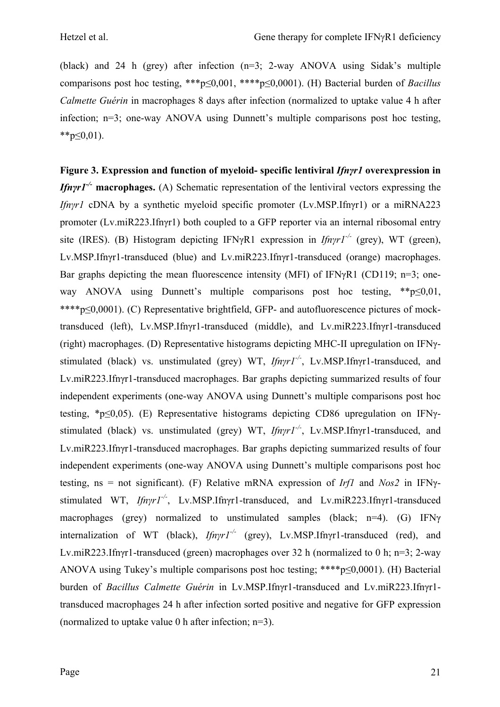(black) and 24 h (grey) after infection (n=3; 2-way ANOVA using Sidak's multiple comparisons post hoc testing, \*\*\*p≤0,001, \*\*\*\*p≤0,0001). (H) Bacterial burden of *Bacillus Calmette Guérin* in macrophages 8 days after infection (normalized to uptake value 4 h after infection; n=3; one-way ANOVA using Dunnett's multiple comparisons post hoc testing,  $*$  $p \le 0.01$ ).

**Figure 3. Expression and function of myeloid- specific lentiviral** *Ifnγr1* **overexpression in**  *Ifnγr1-/-* **macrophages.** (A) Schematic representation of the lentiviral vectors expressing the *Ifnγr1* cDNA by a synthetic myeloid specific promoter (Lv.MSP.Ifnγr1) or a miRNA223 promoter (Lv.miR223.Ifnγr1) both coupled to a GFP reporter via an internal ribosomal entry site (IRES). (B) Histogram depicting IFNγR1 expression in *Ifnγr1-/-* (grey), WT (green), Lv.MSP.Ifnγr1-transduced (blue) and Lv.miR223.Ifnγr1-transduced (orange) macrophages. Bar graphs depicting the mean fluorescence intensity (MFI) of IFNγR1 (CD119; n=3; oneway ANOVA using Dunnett's multiple comparisons post hoc testing,  $*_{p\leq 0,01}$ , \*\*\*\*p≤0,0001). (C) Representative brightfield, GFP- and autofluorescence pictures of mocktransduced (left), Lv.MSP.Ifnγr1-transduced (middle), and Lv.miR223.Ifnγr1-transduced (right) macrophages. (D) Representative histograms depicting MHC-II upregulation on IFNγstimulated (black) vs. unstimulated (grey) WT, *Ifnγr1-/-*, Lv.MSP.Ifnγr1-transduced, and Lv.miR223.Ifnγr1-transduced macrophages. Bar graphs depicting summarized results of four independent experiments (one-way ANOVA using Dunnett's multiple comparisons post hoc testing, \*p≤0,05). (E) Representative histograms depicting CD86 upregulation on IFNγstimulated (black) vs. unstimulated (grey) WT, *Ifnγr1-/-*, Lv.MSP.Ifnγr1-transduced, and Lv.miR223.Ifnγr1-transduced macrophages. Bar graphs depicting summarized results of four independent experiments (one-way ANOVA using Dunnett's multiple comparisons post hoc testing, ns = not significant). (F) Relative mRNA expression of *Irf1* and *Nos2* in IFNγstimulated WT, *Ifnγr1-/-*, Lv.MSP.Ifnγr1-transduced, and Lv.miR223.Ifnγr1-transduced macrophages (grey) normalized to unstimulated samples (black; n=4). (G) IFN $\gamma$ internalization of WT (black), *Ifnγr1-/-* (grey), Lv.MSP.Ifnγr1-transduced (red), and Lv.miR223.Ifnγr1-transduced (green) macrophages over 32 h (normalized to 0 h; n=3; 2-way ANOVA using Tukey's multiple comparisons post hoc testing; \*\*\*\*p≤0,0001). (H) Bacterial burden of *Bacillus Calmette Guérin* in Lv.MSP.Ifnγr1-transduced and Lv.miR223.Ifnγr1 transduced macrophages 24 h after infection sorted positive and negative for GFP expression (normalized to uptake value 0 h after infection;  $n=3$ ).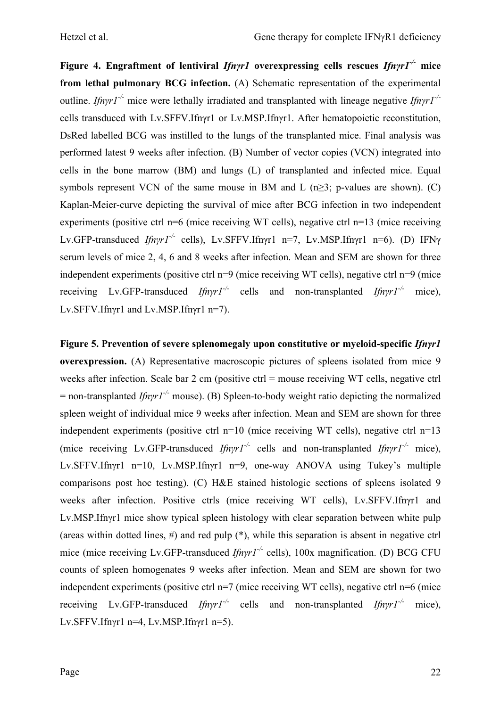**Figure 4. Engraftment of lentiviral** *Ifnγr1* **overexpressing cells rescues** *Ifnγr1-/-* **mice from lethal pulmonary BCG infection.** (A) Schematic representation of the experimental outline. *Ifnγr1-/-* mice were lethally irradiated and transplanted with lineage negative *Ifnγr1-/* cells transduced with Lv.SFFV.Ifnγr1 or Lv.MSP.Ifnγr1. After hematopoietic reconstitution, DsRed labelled BCG was instilled to the lungs of the transplanted mice. Final analysis was performed latest 9 weeks after infection. (B) Number of vector copies (VCN) integrated into cells in the bone marrow (BM) and lungs (L) of transplanted and infected mice. Equal symbols represent VCN of the same mouse in BM and L  $(n\geq 3; p\n-values are shown)$ . (C) Kaplan-Meier-curve depicting the survival of mice after BCG infection in two independent experiments (positive ctrl n=6 (mice receiving WT cells), negative ctrl n=13 (mice receiving Lv.GFP-transduced *Ifnγr1-/-* cells), Lv.SFFV.Ifnγr1 n=7, Lv.MSP.Ifnγr1 n=6). (D) IFNγ serum levels of mice 2, 4, 6 and 8 weeks after infection. Mean and SEM are shown for three independent experiments (positive ctrl n=9 (mice receiving WT cells), negative ctrl n=9 (mice receiving Lv.GFP-transduced *Ifnγr1-/-* cells and non-transplanted *Ifnγr1-/-* mice), Lv.SFFV.Ifnyr1 and Lv.MSP.Ifnyr1 n=7).

**Figure 5. Prevention of severe splenomegaly upon constitutive or myeloid-specific** *Ifnγr1* **overexpression.** (A) Representative macroscopic pictures of spleens isolated from mice 9 weeks after infection. Scale bar 2 cm (positive ctrl = mouse receiving WT cells, negative ctrl = non-transplanted *Ifnγr1-/-* mouse). (B) Spleen-to-body weight ratio depicting the normalized spleen weight of individual mice 9 weeks after infection. Mean and SEM are shown for three independent experiments (positive ctrl n=10 (mice receiving WT cells), negative ctrl n=13 (mice receiving Lv.GFP-transduced *Ifnγr1-/-* cells and non-transplanted *Ifnγr1-/-* mice), Lv.SFFV.Ifnγr1 n=10, Lv.MSP.Ifnγr1 n=9, one-way ANOVA using Tukey's multiple comparisons post hoc testing). (C) H&E stained histologic sections of spleens isolated 9 weeks after infection. Positive ctrls (mice receiving WT cells), Lv.SFFV.Ifnγr1 and Lv.MSP.Ifnγr1 mice show typical spleen histology with clear separation between white pulp (areas within dotted lines,  $\#$ ) and red pulp  $(*)$ , while this separation is absent in negative ctrl mice (mice receiving Lv.GFP-transduced *Ifnγr1<sup>-/-</sup>* cells), 100x magnification. (D) BCG CFU counts of spleen homogenates 9 weeks after infection. Mean and SEM are shown for two independent experiments (positive ctrl n=7 (mice receiving WT cells), negative ctrl n=6 (mice receiving Lv.GFP-transduced *Ifnγr1-/-* cells and non-transplanted *Ifnγr1-/-* mice), Lv.SFFV.Ifn $v1$  n=4, Lv.MSP.Ifn $v1$  n=5).